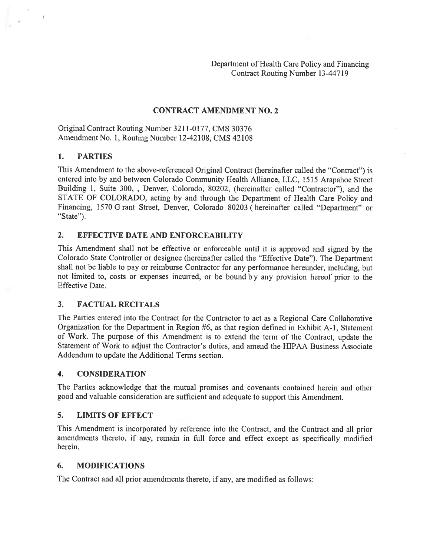Department of Health Care Policy and Financing Contract Routing Number 13-447 19

## CONTRACT AMENDMENT NO.2

Original Contract Routing Number 3211-0177, CMS 30376 Amendment No. 1, Routing Number 12-42108, CMS 42108

#### 1. PARTIES

This Amendment to the above-referenced Original Contract (hereinafter called the "Contract") is entered into by and between Colorado Community Health Alliance, LLC, <sup>1515</sup> Arapahoe Street Building 1, Suite 300, , Denver, Colorado, 80202, (hereinafter called "Contractor"), and the STATE OF COLORADO, acting by and through the Department of Health Care Policy and Financing, <sup>1570</sup> <sup>G</sup> rant Street, Denver, Colorado <sup>80203</sup> (hereinafter called "Department" or "State").

#### 2. EFFECTIVE DATE AND ENFORCEABILITY

This Amendment shall not be effective or enforceable until it is approve<sup>d</sup> and signed by the Colorado State Controller or designee (hereinafter called the "Effective Date"). The Department shall not be liable to pay or reimburse Contractor for any performance hereunder, including, but not limited to, costs or expenses incurred, or be bound <sup>b</sup> <sup>y</sup> any provision hereof prior to the Effective Date.

#### 3. FACTUAL RECITALS

The Parties entered into the Contract for the Contractor to act as <sup>a</sup> Regional Care Collaborative Organization for the Department in Region #6, as that region defined in Exhibit A-1, Statement of Work. The purpose of this Amendment is to extend the term of the Contract, update the Statement of Work to adjust the Contractor's duties, and amend the HIPAA Business Associate Addendum to update the Additional Terms section.

#### 4. CONSIDERATION

The Parties acknowledge that the mutual promises and covenants contained herein and other goo<sup>d</sup> and valuable consideration are sufficient and adequate to suppor<sup>t</sup> this Amendment.

#### 5. LIMITS OF EFFECT

This Amendment is incorporated by reference into the Contract, and the Contract and all prior amendments thereto, if any, remain in full force and effect excep<sup>t</sup> as specifically modified herein.

#### 6. MODIFICATIONS

The Contract and all prior amendments thereto, if any, are modified as follows: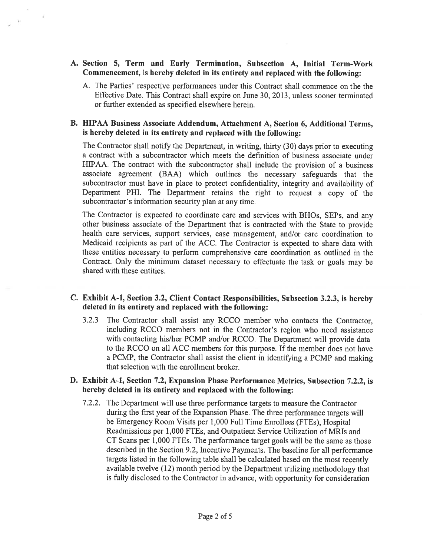### A. Section 5, Term and Early Termination, Subsection A, Initial Term-Work Commencement, is hereby deleted in its entirety and replaced with the following:

A. The Parties' respective performances under this Contract shall commence on the the Effective Date. This Contract shall expire on June 30, 2013, unless sooner terminated or further extended as specified elsewhere herein.

## B. HIPAA Business Associate Addendum, Attachment A, Section 6, Additional Terms, is hereby deleted in its entirety and replaced with the following:

The Contractor shall notify the Department, in writing, thirty (30) days prior to executing <sup>a</sup> contract with <sup>a</sup> subcontractor which meets the definition of business associate under HIPAA. The contract with the subcontractor shall include the provision of <sup>a</sup> business associate agreemen<sup>t</sup> (BAA) which outlines the necessary safeguards that the subcontractor must have in <sup>p</sup>lace to protect confidentiality, integrity and availability of Department PHI. The Department retains the right to reques<sup>t</sup> <sup>a</sup> copy of the subcontractor's information security <sup>p</sup>lan at any time.

The Contractor is expected to coordinate care and services with BHOs, SEPs, and any other business associate of the Department that is contracted with the State to provide health care services, suppor<sup>t</sup> services, case management, and/or care coordination to Medicaid recipients as par<sup>t</sup> of the ACC. The Contractor is expected to share data with these entities necessary to perform comprehensive care coordination as outlined in the Contract. Only the minimum dataset necessary to effectuate the task or goals may be shared with these entities.

## C. Exhibit A-i, Section 3.2, Client Contact Responsibilities, Subsection 3.2.3, is hereby deleted in its entirety and replaced with the following:

3.2.3 The Contractor shall assist any RCCO member who contacts the Contractor, including RCCO members not in the Contractor's region who need assistance with contacting his/her PCMP and/or RCCO. The Department will provide data to the RCCO on all ACC members for this purpose. If the member does not have <sup>a</sup> PCMP, the Contractor shall assist the client in identifying <sup>a</sup> PCMP and making that selection with the enrollment broker.

#### B. Exhibit A-i, Section 7.2, Expansion Phase Performance Metrics, Subsection 7.2.2, is hereby deleted in its entirety and replaced with the following:

7.2.2. The Department will use three performance targets to measure the Contractor during the first year of the Expansion Phase. The three perfomance targets will be Emergency Room Visits per 1,000 Full Time Enrollees (FTEs), Hospital Readmissions per 1,000 FTEs, and Outpatient Service Utilization of MRIs and CT Scans per 1,000 FTEs. The performance target goals will be the same as those described in the Section 9.2, Incentive Payments. The baseline for all performance targets listed in the following table shall be calculated based on the most recently available twelve (12) month period by the Department utilizing methodology that is fully disclosed to the Contractor in advance, with opportunity for consideration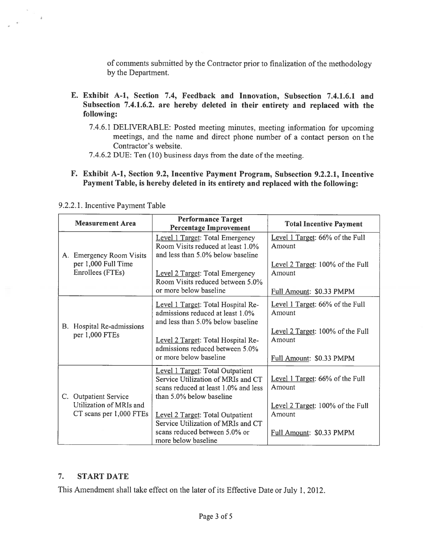of comments submitted by the Contractor prior to finalization of the methodology by the Department.

- E. Exhibit A-i, Section 7.4, Feedback and Innovation, Subsection 7.4.1.6.1 and Subsection 7.4.1.6.2. are hereby deleted in their entirety and replaced with the following:
	- 7.4.6.1 DELIVERABLE: Posted meeting minutes, meeting information for upcoming meetings, and the name and direct <sup>p</sup>hone number of <sup>a</sup> contact person on the Contractor's website.
	- 7.4.6.2 DUE: Ten (10) business days from the date of the meeting.
- F. Exhibit A-i, Section 9.2, Incentive Payment Program, Subsection 9.2.2.1, Incentive Payment Table, is hereby deleted in its entirety and replaced with the following:

|  | <b>Measurement Area</b>                                                     | <b>Performance Target</b><br><b>Percentage Improvement</b>                                                                                        | <b>Total Incentive Payment</b>             |
|--|-----------------------------------------------------------------------------|---------------------------------------------------------------------------------------------------------------------------------------------------|--------------------------------------------|
|  | A. Emergency Room Visits<br>per 1,000 Full Time<br>Enrollees (FTEs)         | Level 1 Target: Total Emergency<br>Room Visits reduced at least 1.0%<br>and less than 5.0% below baseline                                         | Level 1 Target: 66% of the Full<br>Amount  |
|  |                                                                             | Level 2 Target: Total Emergency<br>Room Visits reduced between 5.0%                                                                               | Level 2 Target: 100% of the Full<br>Amount |
|  |                                                                             | or more below baseline                                                                                                                            | Full Amount: \$0.33 PMPM                   |
|  | B. Hospital Re-admissions<br>per 1,000 FTEs                                 | Level 1 Target: Total Hospital Re-<br>admissions reduced at least 1.0%<br>and less than 5.0% below baseline                                       | Level 1 Target: 66% of the Full<br>Amount  |
|  |                                                                             | Level 2 Target: Total Hospital Re-<br>admissions reduced between 5.0%                                                                             | Level 2 Target: 100% of the Full<br>Amount |
|  |                                                                             | or more below baseline                                                                                                                            | Full Amount: \$0.33 PMPM                   |
|  | C. Outpatient Service<br>Utilization of MRIs and<br>CT scans per 1,000 FTEs | <b>Level 1 Target: Total Outpatient</b><br>Service Utilization of MRIs and CT<br>scans reduced at least 1.0% and less<br>than 5.0% below baseline | Level 1 Target: 66% of the Full<br>Amount  |
|  |                                                                             |                                                                                                                                                   | Level 2 Target: 100% of the Full           |
|  |                                                                             | Level 2 Target: Total Outpatient<br>Service Utilization of MRIs and CT                                                                            | Amount                                     |
|  |                                                                             | scans reduced between 5.0% or<br>more below baseline                                                                                              | Full Amount: \$0.33 PMPM                   |

9.2.2.1. Incentive Payment Table

 $\Delta$ 

# 7. START DATE

This Amendment shall take effect on the later of its Effective Date or July 1, 2012.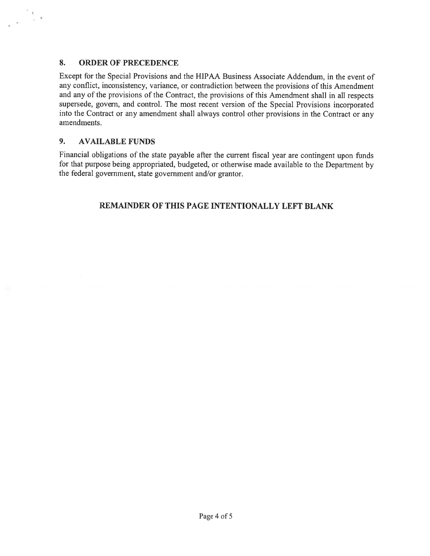# 8. ORDER OF PRECEDENCE

 $S_{\rm S}$   $\rightarrow$ 

Except for the Special Provisions and the HIPAA Business Associate Addendum, in the event of any conflict, inconsistency, variance, or contradiction between the provisions of this Amendment and any of the provisions of the Contract, the provisions of this Amendment shall in all respects supersede, govern, and control. The most recent version of the Special Provisions incorporated into the Contract or any amendment shall always control other provisions in the Contract or any amendments.

# 9. AVAILABLE FUNDS

Financial obligations of the state payable after the current fiscal year are contingent upon funds for that purpose being appropriated, budgeted, or otherwise made available to the Department by the federal government, state governmen<sup>t</sup> and/or grantor.

# REMAINDER OF THIS PAGE INTENTIONALLY LEFT BLANK